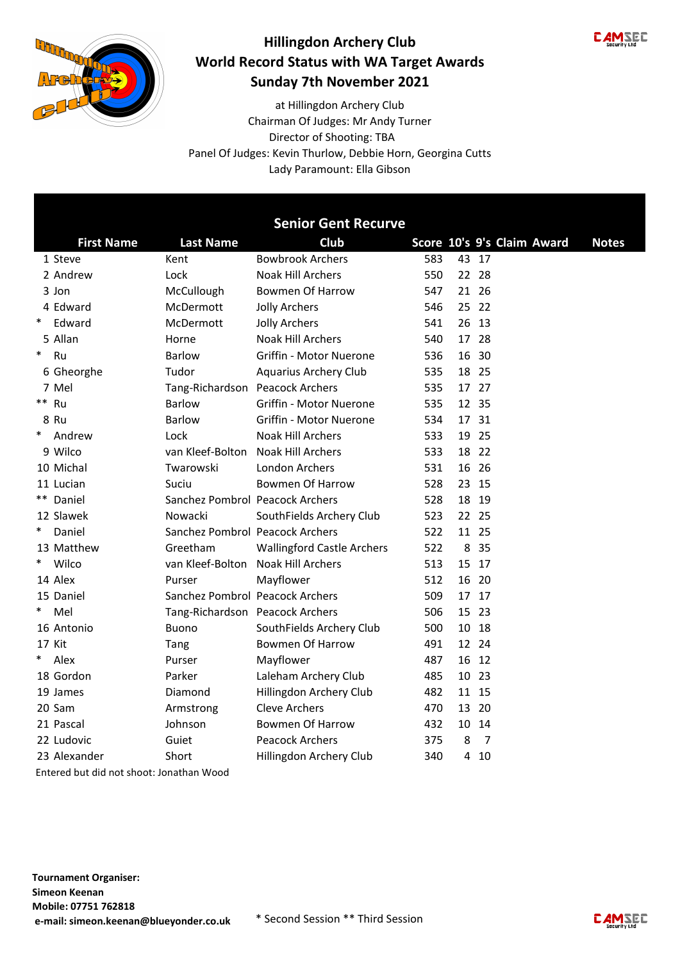



Director of Shooting: TBA at Hillingdon Archery Club Panel Of Judges: Kevin Thurlow, Debbie Horn, Georgina Cutts Lady Paramount: Ella Gibson Chairman Of Judges: Mr Andy Turner

| Club<br>Score 10's 9's Claim Award<br><b>First Name</b><br><b>Last Name</b><br><b>Bowbrook Archers</b><br>583<br>43 17<br>1 Steve<br>Kent<br>550<br>22 28<br>2 Andrew<br>Lock<br><b>Noak Hill Archers</b><br>Bowmen Of Harrow<br>21 26<br>3 Jon<br>McCullough<br>547<br>4 Edward<br>McDermott<br>546<br>25 22<br><b>Jolly Archers</b><br>$\ast$<br>Edward<br>McDermott<br><b>Jolly Archers</b><br>541<br>26<br>13<br>5 Allan<br><b>Noak Hill Archers</b><br>540<br>17 28<br>Horne<br>$\ast$<br>Ru<br><b>Barlow</b><br>Griffin - Motor Nuerone<br>536<br>16 30<br>18 25<br>6 Gheorghe<br>Tudor<br>535<br>Aquarius Archery Club<br>17 27<br>7 Mel<br>Tang-Richardson Peacock Archers<br>535<br>** Ru<br>12 35<br><b>Barlow</b><br>Griffin - Motor Nuerone<br>535<br>8 Ru<br><b>Barlow</b><br>Griffin - Motor Nuerone<br>534<br>17 31<br>$\ast$<br><b>Noak Hill Archers</b><br>Andrew<br>Lock<br>533<br>19 25<br>9 Wilco<br>van Kleef-Bolton<br><b>Noak Hill Archers</b><br>533<br>18 22<br>16 26<br>10 Michal<br>Twarowski<br><b>London Archers</b><br>531<br><b>Bowmen Of Harrow</b><br>528<br>23 15<br>11 Lucian<br>Suciu<br>** Daniel<br>Sanchez Pombrol Peacock Archers<br>528<br>18 19<br>12 Slawek<br>523<br>Nowacki<br>SouthFields Archery Club<br>22 25<br>$\ast$<br>Daniel<br>Sanchez Pombrol Peacock Archers<br>522<br>11 25<br>13 Matthew<br>Greetham<br><b>Wallingford Castle Archers</b><br>522<br>8 3 5<br>$\ast$<br>Wilco<br>van Kleef-Bolton<br>513<br>Noak Hill Archers<br>15 17<br>14 Alex<br>Mayflower<br>512<br>16 20<br>Purser |  | <b>Senior Gent Recurve</b> |  |  |              |
|---------------------------------------------------------------------------------------------------------------------------------------------------------------------------------------------------------------------------------------------------------------------------------------------------------------------------------------------------------------------------------------------------------------------------------------------------------------------------------------------------------------------------------------------------------------------------------------------------------------------------------------------------------------------------------------------------------------------------------------------------------------------------------------------------------------------------------------------------------------------------------------------------------------------------------------------------------------------------------------------------------------------------------------------------------------------------------------------------------------------------------------------------------------------------------------------------------------------------------------------------------------------------------------------------------------------------------------------------------------------------------------------------------------------------------------------------------------------------------------------------------------------------------------------------|--|----------------------------|--|--|--------------|
|                                                                                                                                                                                                                                                                                                                                                                                                                                                                                                                                                                                                                                                                                                                                                                                                                                                                                                                                                                                                                                                                                                                                                                                                                                                                                                                                                                                                                                                                                                                                                   |  |                            |  |  | <b>Notes</b> |
|                                                                                                                                                                                                                                                                                                                                                                                                                                                                                                                                                                                                                                                                                                                                                                                                                                                                                                                                                                                                                                                                                                                                                                                                                                                                                                                                                                                                                                                                                                                                                   |  |                            |  |  |              |
|                                                                                                                                                                                                                                                                                                                                                                                                                                                                                                                                                                                                                                                                                                                                                                                                                                                                                                                                                                                                                                                                                                                                                                                                                                                                                                                                                                                                                                                                                                                                                   |  |                            |  |  |              |
|                                                                                                                                                                                                                                                                                                                                                                                                                                                                                                                                                                                                                                                                                                                                                                                                                                                                                                                                                                                                                                                                                                                                                                                                                                                                                                                                                                                                                                                                                                                                                   |  |                            |  |  |              |
|                                                                                                                                                                                                                                                                                                                                                                                                                                                                                                                                                                                                                                                                                                                                                                                                                                                                                                                                                                                                                                                                                                                                                                                                                                                                                                                                                                                                                                                                                                                                                   |  |                            |  |  |              |
|                                                                                                                                                                                                                                                                                                                                                                                                                                                                                                                                                                                                                                                                                                                                                                                                                                                                                                                                                                                                                                                                                                                                                                                                                                                                                                                                                                                                                                                                                                                                                   |  |                            |  |  |              |
|                                                                                                                                                                                                                                                                                                                                                                                                                                                                                                                                                                                                                                                                                                                                                                                                                                                                                                                                                                                                                                                                                                                                                                                                                                                                                                                                                                                                                                                                                                                                                   |  |                            |  |  |              |
|                                                                                                                                                                                                                                                                                                                                                                                                                                                                                                                                                                                                                                                                                                                                                                                                                                                                                                                                                                                                                                                                                                                                                                                                                                                                                                                                                                                                                                                                                                                                                   |  |                            |  |  |              |
|                                                                                                                                                                                                                                                                                                                                                                                                                                                                                                                                                                                                                                                                                                                                                                                                                                                                                                                                                                                                                                                                                                                                                                                                                                                                                                                                                                                                                                                                                                                                                   |  |                            |  |  |              |
|                                                                                                                                                                                                                                                                                                                                                                                                                                                                                                                                                                                                                                                                                                                                                                                                                                                                                                                                                                                                                                                                                                                                                                                                                                                                                                                                                                                                                                                                                                                                                   |  |                            |  |  |              |
|                                                                                                                                                                                                                                                                                                                                                                                                                                                                                                                                                                                                                                                                                                                                                                                                                                                                                                                                                                                                                                                                                                                                                                                                                                                                                                                                                                                                                                                                                                                                                   |  |                            |  |  |              |
|                                                                                                                                                                                                                                                                                                                                                                                                                                                                                                                                                                                                                                                                                                                                                                                                                                                                                                                                                                                                                                                                                                                                                                                                                                                                                                                                                                                                                                                                                                                                                   |  |                            |  |  |              |
|                                                                                                                                                                                                                                                                                                                                                                                                                                                                                                                                                                                                                                                                                                                                                                                                                                                                                                                                                                                                                                                                                                                                                                                                                                                                                                                                                                                                                                                                                                                                                   |  |                            |  |  |              |
|                                                                                                                                                                                                                                                                                                                                                                                                                                                                                                                                                                                                                                                                                                                                                                                                                                                                                                                                                                                                                                                                                                                                                                                                                                                                                                                                                                                                                                                                                                                                                   |  |                            |  |  |              |
|                                                                                                                                                                                                                                                                                                                                                                                                                                                                                                                                                                                                                                                                                                                                                                                                                                                                                                                                                                                                                                                                                                                                                                                                                                                                                                                                                                                                                                                                                                                                                   |  |                            |  |  |              |
|                                                                                                                                                                                                                                                                                                                                                                                                                                                                                                                                                                                                                                                                                                                                                                                                                                                                                                                                                                                                                                                                                                                                                                                                                                                                                                                                                                                                                                                                                                                                                   |  |                            |  |  |              |
|                                                                                                                                                                                                                                                                                                                                                                                                                                                                                                                                                                                                                                                                                                                                                                                                                                                                                                                                                                                                                                                                                                                                                                                                                                                                                                                                                                                                                                                                                                                                                   |  |                            |  |  |              |
|                                                                                                                                                                                                                                                                                                                                                                                                                                                                                                                                                                                                                                                                                                                                                                                                                                                                                                                                                                                                                                                                                                                                                                                                                                                                                                                                                                                                                                                                                                                                                   |  |                            |  |  |              |
|                                                                                                                                                                                                                                                                                                                                                                                                                                                                                                                                                                                                                                                                                                                                                                                                                                                                                                                                                                                                                                                                                                                                                                                                                                                                                                                                                                                                                                                                                                                                                   |  |                            |  |  |              |
|                                                                                                                                                                                                                                                                                                                                                                                                                                                                                                                                                                                                                                                                                                                                                                                                                                                                                                                                                                                                                                                                                                                                                                                                                                                                                                                                                                                                                                                                                                                                                   |  |                            |  |  |              |
|                                                                                                                                                                                                                                                                                                                                                                                                                                                                                                                                                                                                                                                                                                                                                                                                                                                                                                                                                                                                                                                                                                                                                                                                                                                                                                                                                                                                                                                                                                                                                   |  |                            |  |  |              |
|                                                                                                                                                                                                                                                                                                                                                                                                                                                                                                                                                                                                                                                                                                                                                                                                                                                                                                                                                                                                                                                                                                                                                                                                                                                                                                                                                                                                                                                                                                                                                   |  |                            |  |  |              |
| 15 Daniel<br>Sanchez Pombrol Peacock Archers<br>509<br>17 17                                                                                                                                                                                                                                                                                                                                                                                                                                                                                                                                                                                                                                                                                                                                                                                                                                                                                                                                                                                                                                                                                                                                                                                                                                                                                                                                                                                                                                                                                      |  |                            |  |  |              |
| $\ast$<br>Mel<br>506<br>15 23<br>Tang-Richardson Peacock Archers                                                                                                                                                                                                                                                                                                                                                                                                                                                                                                                                                                                                                                                                                                                                                                                                                                                                                                                                                                                                                                                                                                                                                                                                                                                                                                                                                                                                                                                                                  |  |                            |  |  |              |
| SouthFields Archery Club<br>500<br>10 18<br>16 Antonio<br><b>Buono</b>                                                                                                                                                                                                                                                                                                                                                                                                                                                                                                                                                                                                                                                                                                                                                                                                                                                                                                                                                                                                                                                                                                                                                                                                                                                                                                                                                                                                                                                                            |  |                            |  |  |              |
| <b>Bowmen Of Harrow</b><br>491<br>12 24<br>17 Kit<br>Tang                                                                                                                                                                                                                                                                                                                                                                                                                                                                                                                                                                                                                                                                                                                                                                                                                                                                                                                                                                                                                                                                                                                                                                                                                                                                                                                                                                                                                                                                                         |  |                            |  |  |              |
| $\ast$<br>Alex<br>Mayflower<br>487<br>16 12<br>Purser                                                                                                                                                                                                                                                                                                                                                                                                                                                                                                                                                                                                                                                                                                                                                                                                                                                                                                                                                                                                                                                                                                                                                                                                                                                                                                                                                                                                                                                                                             |  |                            |  |  |              |
| 18 Gordon<br>Parker<br>Laleham Archery Club<br>485<br>10 23                                                                                                                                                                                                                                                                                                                                                                                                                                                                                                                                                                                                                                                                                                                                                                                                                                                                                                                                                                                                                                                                                                                                                                                                                                                                                                                                                                                                                                                                                       |  |                            |  |  |              |
| Diamond<br>Hillingdon Archery Club<br>482<br>19 James<br>11 15                                                                                                                                                                                                                                                                                                                                                                                                                                                                                                                                                                                                                                                                                                                                                                                                                                                                                                                                                                                                                                                                                                                                                                                                                                                                                                                                                                                                                                                                                    |  |                            |  |  |              |
| <b>Cleve Archers</b><br>20<br>20 Sam<br>470<br>13<br>Armstrong                                                                                                                                                                                                                                                                                                                                                                                                                                                                                                                                                                                                                                                                                                                                                                                                                                                                                                                                                                                                                                                                                                                                                                                                                                                                                                                                                                                                                                                                                    |  |                            |  |  |              |
| 21 Pascal<br>Johnson<br>Bowmen Of Harrow<br>432<br>10 14                                                                                                                                                                                                                                                                                                                                                                                                                                                                                                                                                                                                                                                                                                                                                                                                                                                                                                                                                                                                                                                                                                                                                                                                                                                                                                                                                                                                                                                                                          |  |                            |  |  |              |
| 22 Ludovic<br><b>Peacock Archers</b><br>8<br>$\overline{7}$<br>Guiet<br>375                                                                                                                                                                                                                                                                                                                                                                                                                                                                                                                                                                                                                                                                                                                                                                                                                                                                                                                                                                                                                                                                                                                                                                                                                                                                                                                                                                                                                                                                       |  |                            |  |  |              |
| 23 Alexander<br>Short<br>Hillingdon Archery Club<br>340<br>4<br>10                                                                                                                                                                                                                                                                                                                                                                                                                                                                                                                                                                                                                                                                                                                                                                                                                                                                                                                                                                                                                                                                                                                                                                                                                                                                                                                                                                                                                                                                                |  |                            |  |  |              |

Entered but did not shoot: Jonathan Wood

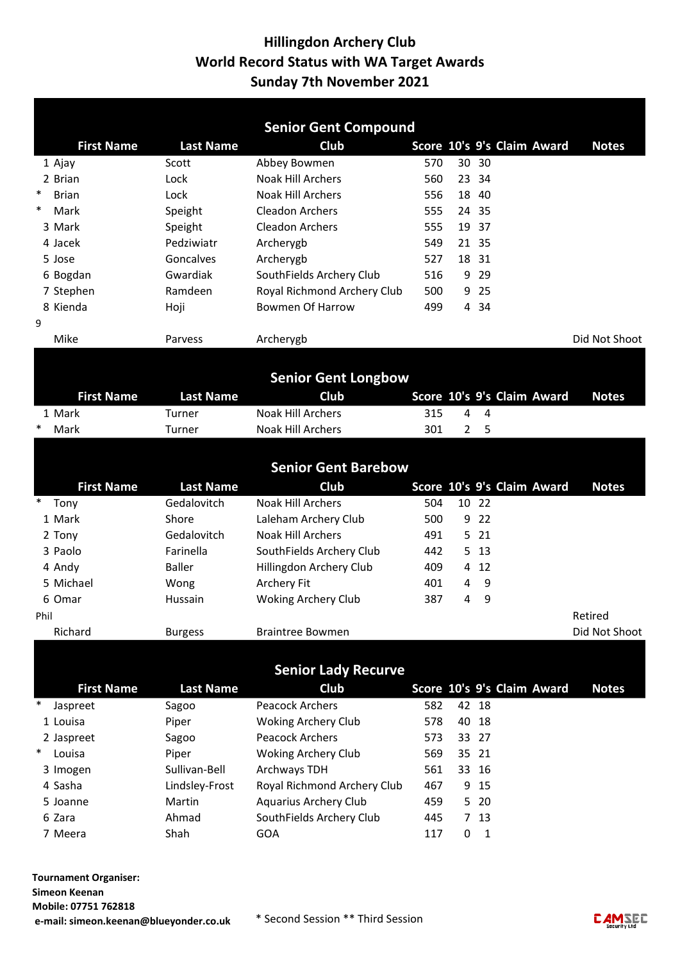|        |                   |                  | <b>Senior Gent Compound</b>     |            |                |                        |                            |               |
|--------|-------------------|------------------|---------------------------------|------------|----------------|------------------------|----------------------------|---------------|
|        | <b>First Name</b> | <b>Last Name</b> | Club                            |            |                |                        | Score 10's 9's Claim Award | <b>Notes</b>  |
|        | 1 Ajay            | Scott            | Abbey Bowmen                    | 570        |                | 30 30                  |                            |               |
|        | 2 Brian           | Lock             | <b>Noak Hill Archers</b>        | 560        |                | 23 34                  |                            |               |
| $\ast$ | <b>Brian</b>      | Lock             | <b>Noak Hill Archers</b>        | 556        | 18             | 40                     |                            |               |
| $\ast$ | Mark              | Speight          | Cleadon Archers                 | 555        |                | 24 35                  |                            |               |
|        | 3 Mark            | Speight          | <b>Cleadon Archers</b>          | 555        |                | 19 37                  |                            |               |
|        | 4 Jacek           | Pedziwiatr       | Archerygb                       | 549        |                | 21 35                  |                            |               |
|        | 5 Jose            | Goncalves        | Archerygb                       | 527        |                | 18 31                  |                            |               |
|        | 6 Bogdan          | Gwardiak         | SouthFields Archery Club        | 516        |                | 9 29                   |                            |               |
|        | 7 Stephen         | Ramdeen          | Royal Richmond Archery Club     | 500        | 9              | 25                     |                            |               |
|        | 8 Kienda          | Hoji             | <b>Bowmen Of Harrow</b>         | 499        |                | 4 34                   |                            |               |
| 9      |                   |                  |                                 |            |                |                        |                            |               |
|        | Mike              | Parvess          | Archerygb                       |            |                |                        |                            | Did Not Shoot |
|        |                   |                  |                                 |            |                |                        |                            |               |
|        |                   |                  | <b>Senior Gent Longbow</b>      |            |                |                        |                            |               |
|        | <b>First Name</b> | <b>Last Name</b> | Club                            |            |                |                        | Score 10's 9's Claim Award | <b>Notes</b>  |
|        | 1 Mark            | Turner           | <b>Noak Hill Archers</b>        | 315        | 4              | 4                      |                            |               |
| $\ast$ | Mark              | Turner           | <b>Noak Hill Archers</b>        | 301        | $\overline{2}$ | 5                      |                            |               |
|        |                   |                  | <b>Senior Gent Barebow</b>      |            |                |                        |                            |               |
|        | <b>First Name</b> | <b>Last Name</b> | Club                            |            |                |                        | Score 10's 9's Claim Award | <b>Notes</b>  |
| $\ast$ | Tony              | Gedalovitch      | <b>Noak Hill Archers</b>        | 504        |                | 10 22                  |                            |               |
|        | 1 Mark            | Shore            | Laleham Archery Club            | 500        | 9              | 22                     |                            |               |
|        | 2 Tony            | Gedalovitch      | <b>Noak Hill Archers</b>        | 491        | 5.             | 21                     |                            |               |
|        | 3 Paolo           | Farinella        | SouthFields Archery Club        | 442        | 5              | 13                     |                            |               |
|        | 4 Andy            | <b>Baller</b>    | Hillingdon Archery Club         | 409        | 4              | 12                     |                            |               |
|        | 5 Michael         | Wong             | Archery Fit                     | 401        | 4              | 9                      |                            |               |
|        | 6 Omar            | Hussain          | <b>Woking Archery Club</b>      | 387        | 4              | 9                      |                            |               |
| Phil   |                   |                  |                                 |            |                |                        |                            | Retired       |
|        | Richard           | <b>Burgess</b>   | <b>Braintree Bowmen</b>         |            |                |                        |                            | Did Not Shoot |
|        |                   |                  |                                 |            |                |                        |                            |               |
|        |                   |                  | <b>Senior Lady Recurve</b>      |            |                |                        |                            |               |
|        | <b>First Name</b> | <b>Last Name</b> | Club                            |            |                |                        | Score 10's 9's Claim Award |               |
| ∗      |                   |                  | <b>Peacock Archers</b>          | 582        |                | 42 18                  |                            | <b>Notes</b>  |
|        | Jaspreet          | Sagoo            |                                 |            |                |                        |                            |               |
|        | 1 Louisa          | Piper            | <b>Woking Archery Club</b>      | 578        | 40             | 18                     |                            |               |
| $\ast$ | 2 Jaspreet        | Sagoo            | <b>Peacock Archers</b>          | 573        |                | 33 27                  |                            |               |
|        | Louisa            | Piper            | <b>Woking Archery Club</b>      | 569        |                | 35 21                  |                            |               |
|        | 3 Imogen          | Sullivan-Bell    | Archways TDH                    | 561        |                | 33 16                  |                            |               |
|        | 4 Sasha           | Lindsley-Frost   | Royal Richmond Archery Club     | 467        |                | 9 15                   |                            |               |
|        | 5 Joanne          | Martin           | Aquarius Archery Club           | 459        |                | 5 20                   |                            |               |
|        |                   |                  |                                 |            |                |                        |                            |               |
|        | 6 Zara<br>7 Meera | Ahmad<br>Shah    | SouthFields Archery Club<br>GOA | 445<br>117 | 0              | 7 13<br>$\overline{1}$ |                            |               |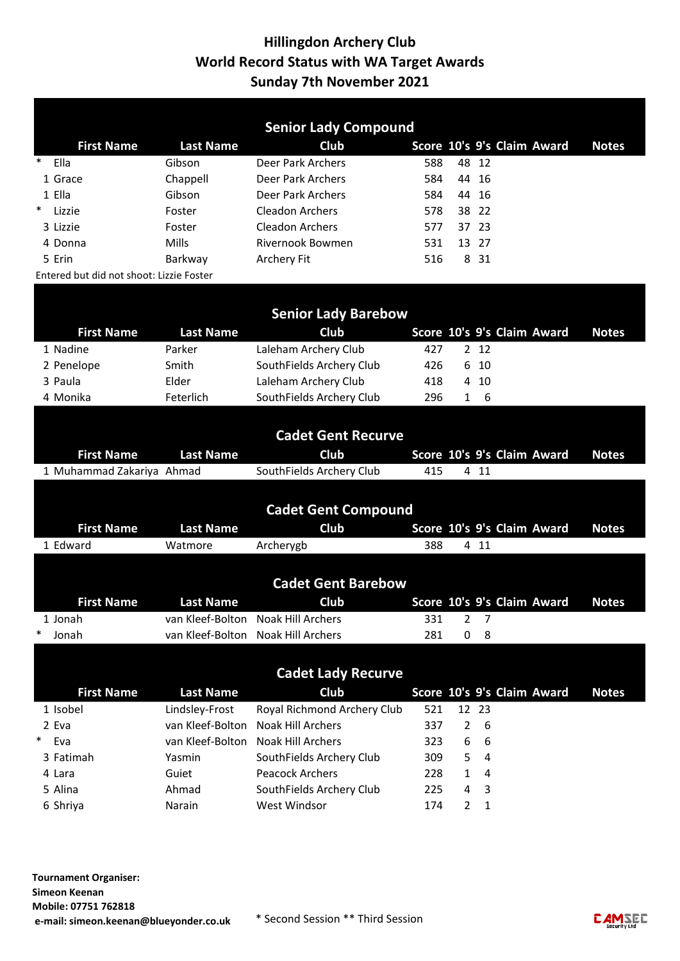|                 |                                          |                  | <b>Senior Lady Compound</b>                        |            |        |        |                            |              |
|-----------------|------------------------------------------|------------------|----------------------------------------------------|------------|--------|--------|----------------------------|--------------|
|                 | <b>First Name</b>                        | <b>Last Name</b> | Club                                               |            |        |        | Score 10's 9's Claim Award | <b>Notes</b> |
| $\ast$          | Ella                                     | Gibson           | Deer Park Archers                                  | 588        | 48     | 12     |                            |              |
|                 | 1 Grace                                  | Chappell         | Deer Park Archers                                  | 584        | 44     | 16     |                            |              |
| 1 Ella          |                                          | Gibson           | Deer Park Archers                                  | 584        |        | 44 16  |                            |              |
| $\ast$          | Lizzie                                   | Foster           | <b>Cleadon Archers</b>                             | 578        |        | 38 22  |                            |              |
|                 | 3 Lizzie                                 | Foster           | <b>Cleadon Archers</b>                             | 577        |        | 37 23  |                            |              |
|                 | 4 Donna                                  | Mills            | Rivernook Bowmen                                   | 531        |        | 13 27  |                            |              |
| 5 Erin          |                                          | Barkway          | Archery Fit                                        | 516        |        | 8 31   |                            |              |
|                 | Entered but did not shoot: Lizzie Foster |                  |                                                    |            |        |        |                            |              |
|                 |                                          |                  |                                                    |            |        |        |                            |              |
|                 |                                          |                  | <b>Senior Lady Barebow</b>                         |            |        |        |                            |              |
|                 | <b>First Name</b>                        | <b>Last Name</b> | Club                                               |            |        |        | Score 10's 9's Claim Award | <b>Notes</b> |
|                 | 1 Nadine                                 | Parker           | Laleham Archery Club                               | 427        |        | 2 12   |                            |              |
|                 | 2 Penelope                               | Smith            | SouthFields Archery Club                           | 426        | 6      | 10     |                            |              |
|                 | 3 Paula                                  | Elder            | Laleham Archery Club                               | 418        | 4      | 10     |                            |              |
|                 | 4 Monika                                 | Feterlich        | SouthFields Archery Club                           | 296        | 1      | 6      |                            |              |
|                 |                                          |                  |                                                    |            |        |        |                            |              |
|                 |                                          |                  | <b>Cadet Gent Recurve</b>                          |            |        |        |                            |              |
|                 |                                          |                  |                                                    |            |        |        |                            |              |
|                 |                                          |                  |                                                    |            |        |        |                            |              |
|                 | <b>First Name</b>                        | <b>Last Name</b> | Club                                               |            |        |        | Score 10's 9's Claim Award | <b>Notes</b> |
|                 | 1 Muhammad Zakariya Ahmad                |                  | SouthFields Archery Club                           | 415        |        | 4 11   |                            |              |
|                 |                                          |                  |                                                    |            |        |        |                            |              |
|                 |                                          |                  | <b>Cadet Gent Compound</b>                         |            |        |        |                            |              |
|                 | <b>First Name</b>                        | <b>Last Name</b> | Club                                               |            |        |        | Score 10's 9's Claim Award | <b>Notes</b> |
|                 | 1 Edward                                 | Watmore          | Archerygb                                          | 388        |        | 4 11   |                            |              |
|                 |                                          |                  |                                                    |            |        |        |                            |              |
|                 |                                          |                  | <b>Cadet Gent Barebow</b>                          |            |        |        |                            |              |
|                 | <b>First Name</b>                        | <b>Last Name</b> | Club                                               |            |        |        | Score 10's 9's Claim Award | <b>Notes</b> |
|                 | 1 Jonah                                  |                  | van Kleef-Bolton Noak Hill Archers                 | 331        |        | - 27   |                            |              |
| $\ast$          | Jonah                                    |                  | van Kleef-Bolton Noak Hill Archers                 | 281        | 0      | 8      |                            |              |
|                 |                                          |                  |                                                    |            |        |        |                            |              |
|                 |                                          |                  |                                                    |            |        |        |                            |              |
|                 |                                          |                  | <b>Cadet Lady Recurve</b>                          |            |        |        |                            |              |
|                 | <b>First Name</b>                        | <b>Last Name</b> | Club                                               |            |        |        | Score 10's 9's Claim Award | <b>Notes</b> |
|                 | 1 Isobel                                 | Lindsley-Frost   | Royal Richmond Archery Club                        | 521        |        | 12 23  |                            |              |
| 2 Eva<br>$\ast$ |                                          | van Kleef-Bolton | Noak Hill Archers                                  | 337        | 2      | 6      |                            |              |
|                 | Eva                                      | van Kleef-Bolton | Noak Hill Archers                                  | 323        | 6      | 6      |                            |              |
|                 | 3 Fatimah                                | Yasmin           | SouthFields Archery Club                           | 309        | 5      | 4      |                            |              |
|                 | 4 Lara<br>5 Alina                        | Guiet<br>Ahmad   | <b>Peacock Archers</b><br>SouthFields Archery Club | 228<br>225 | 1<br>4 | 4<br>3 |                            |              |